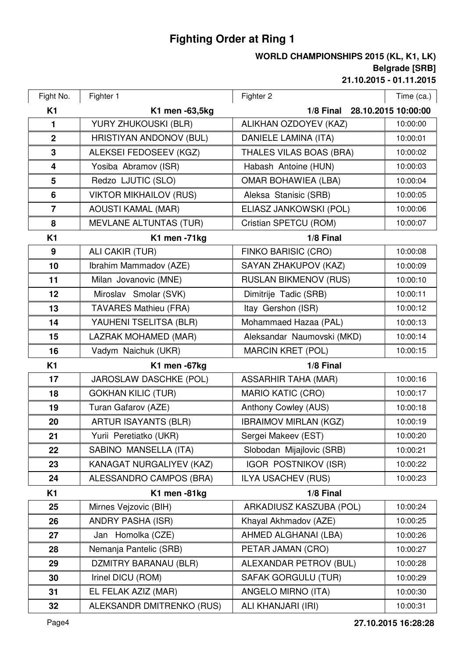## **Fighting Order at Ring 1**

## **21.10.2015 - 01.11.2015 Belgrade [SRB] WORLD CHAMPIONSHIPS 2015 (KL, K1, LK)**

| Fight No.               | Fighter 1                      | Fighter 2                    | Time (ca.)          |
|-------------------------|--------------------------------|------------------------------|---------------------|
| <b>K1</b>               | K1 men -63,5kg                 | 1/8 Final                    | 28.10.2015 10:00:00 |
| $\mathbf{1}$            | YURY ZHUKOUSKI (BLR)           | ALIKHAN OZDOYEV (KAZ)        | 10:00:00            |
| $\boldsymbol{2}$        | <b>HRISTIYAN ANDONOV (BUL)</b> | <b>DANIELE LAMINA (ITA)</b>  | 10:00:01            |
| 3                       | ALEKSEI FEDOSEEV (KGZ)         | THALES VILAS BOAS (BRA)      | 10:00:02            |
| $\overline{\mathbf{4}}$ | Yosiba Abramov (ISR)           | Habash Antoine (HUN)         | 10:00:03            |
| 5                       | Redzo LJUTIC (SLO)             | <b>OMAR BOHAWIEA (LBA)</b>   | 10:00:04            |
| 6                       | <b>VIKTOR MIKHAILOV (RUS)</b>  | Aleksa Stanisic (SRB)        | 10:00:05            |
| $\overline{7}$          | <b>AOUSTI KAMAL (MAR)</b>      | ELIASZ JANKOWSKI (POL)       | 10:00:06            |
| 8                       | <b>MEVLANE ALTUNTAS (TUR)</b>  | Cristian SPETCU (ROM)        | 10:00:07            |
| <b>K1</b>               | K1 men -71kg                   | 1/8 Final                    |                     |
| 9                       | ALI CAKIR (TUR)                | FINKO BARISIC (CRO)          | 10:00:08            |
| 10                      | Ibrahim Mammadov (AZE)         | SAYAN ZHAKUPOV (KAZ)         | 10:00:09            |
| 11                      | Milan Jovanovic (MNE)          | <b>RUSLAN BIKMENOV (RUS)</b> | 10:00:10            |
| 12                      | Miroslav Smolar (SVK)          | Dimitrije Tadic (SRB)        | 10:00:11            |
| 13                      | <b>TAVARES Mathieu (FRA)</b>   | Itay Gershon (ISR)           | 10:00:12            |
| 14                      | YAUHENI TSELITSA (BLR)         | Mohammaed Hazaa (PAL)        | 10:00:13            |
| 15                      | LAZRAK MOHAMED (MAR)           | Aleksandar Naumovski (MKD)   | 10:00:14            |
| 16                      | Vadym Naichuk (UKR)            | <b>MARCIN KRET (POL)</b>     | 10:00:15            |
| K1                      | K1 men -67kg                   | 1/8 Final                    |                     |
| 17                      | JAROSLAW DASCHKE (POL)         | <b>ASSARHIR TAHA (MAR)</b>   | 10:00:16            |
| 18                      | <b>GOKHAN KILIC (TUR)</b>      | <b>MARIO KATIC (CRO)</b>     | 10:00:17            |
| 19                      | Turan Gafarov (AZE)            | Anthony Cowley (AUS)         | 10:00:18            |
| 20                      | <b>ARTUR ISAYANTS (BLR)</b>    | <b>IBRAIMOV MIRLAN (KGZ)</b> | 10:00:19            |
| 21                      | Yurii Peretiatko (UKR)         | Sergei Makeev (EST)          | 10:00:20            |
| 22                      | SABINO MANSELLA (ITA)          | Slobodan Mijajlovic (SRB)    | 10:00:21            |
| 23                      | KANAGAT NURGALIYEV (KAZ)       | <b>IGOR POSTNIKOV (ISR)</b>  | 10:00:22            |
| 24                      | ALESSANDRO CAMPOS (BRA)        | <b>ILYA USACHEV (RUS)</b>    | 10:00:23            |
| K <sub>1</sub>          | K1 men-81kg                    | 1/8 Final                    |                     |
| 25                      | Mirnes Vejzovic (BIH)          | ARKADIUSZ KASZUBA (POL)      | 10:00:24            |
| 26                      | <b>ANDRY PASHA (ISR)</b>       | Khayal Akhmadov (AZE)        | 10:00:25            |
| 27                      | Jan Homolka (CZE)              | AHMED ALGHANAI (LBA)         | 10:00:26            |
| 28                      | Nemanja Pantelic (SRB)         | PETAR JAMAN (CRO)            | 10:00:27            |
| 29                      | <b>DZMITRY BARANAU (BLR)</b>   | ALEXANDAR PETROV (BUL)       | 10:00:28            |
| 30                      | Irinel DICU (ROM)              | <b>SAFAK GORGULU (TUR)</b>   | 10:00:29            |
| 31                      | EL FELAK AZIZ (MAR)            | ANGELO MIRNO (ITA)           | 10:00:30            |
| 32                      | ALEKSANDR DMITRENKO (RUS)      | ALI KHANJARI (IRI)           | 10:00:31            |